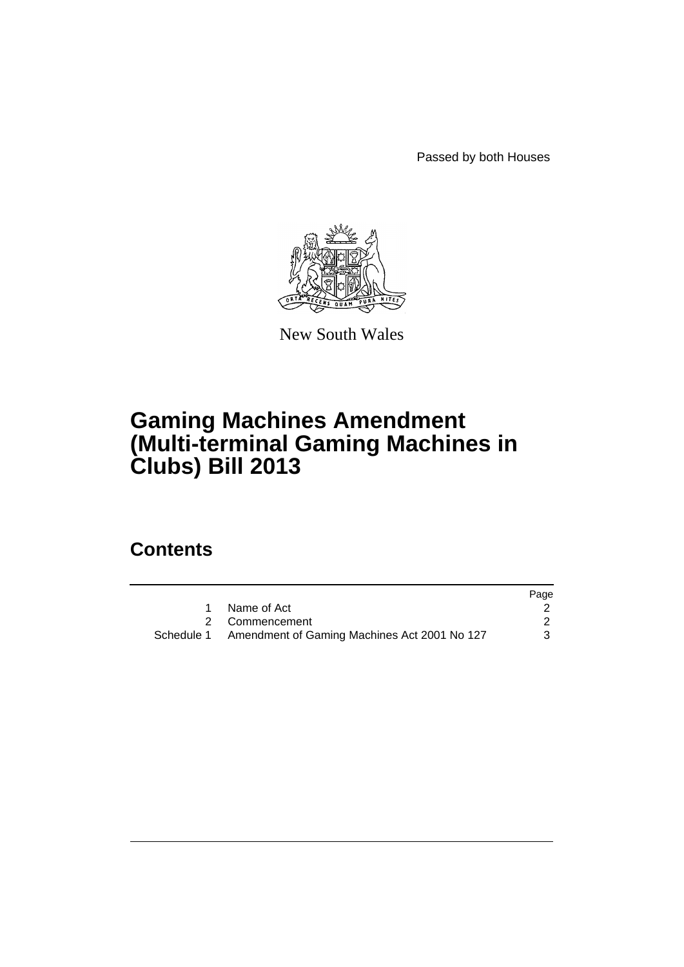Passed by both Houses



New South Wales

# **Gaming Machines Amendment (Multi-terminal Gaming Machines in Clubs) Bill 2013**

## **Contents**

|                                                         | Page |
|---------------------------------------------------------|------|
| Name of Act                                             |      |
| 2 Commencement                                          |      |
| Schedule 1 Amendment of Gaming Machines Act 2001 No 127 |      |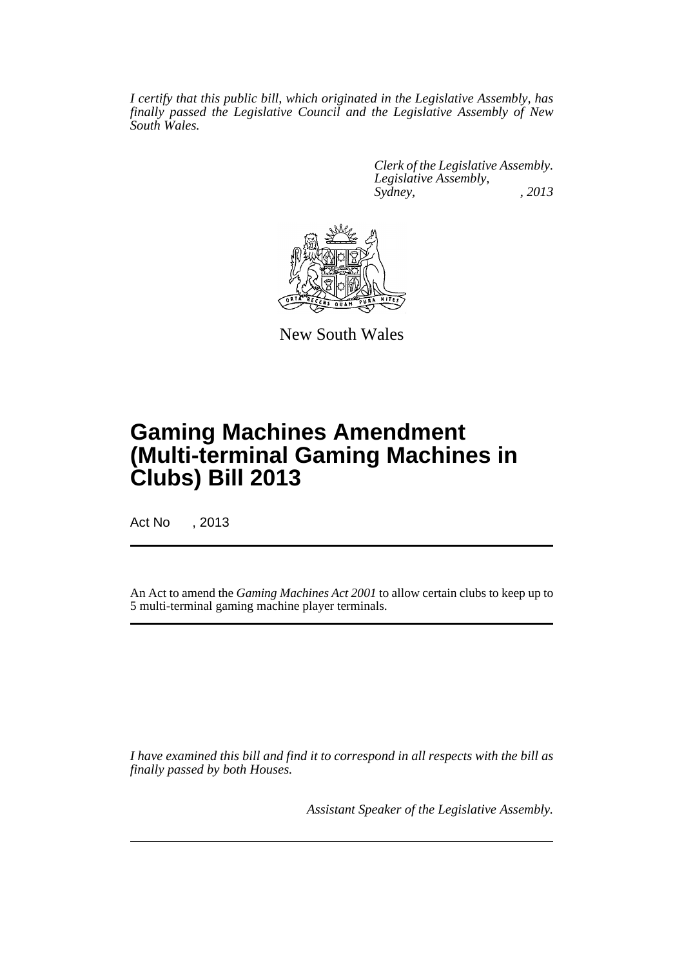*I certify that this public bill, which originated in the Legislative Assembly, has finally passed the Legislative Council and the Legislative Assembly of New South Wales.*

> *Clerk of the Legislative Assembly. Legislative Assembly, Sydney, , 2013*



New South Wales

# **Gaming Machines Amendment (Multi-terminal Gaming Machines in Clubs) Bill 2013**

Act No , 2013

An Act to amend the *Gaming Machines Act 2001* to allow certain clubs to keep up to 5 multi-terminal gaming machine player terminals.

*I have examined this bill and find it to correspond in all respects with the bill as finally passed by both Houses.*

*Assistant Speaker of the Legislative Assembly.*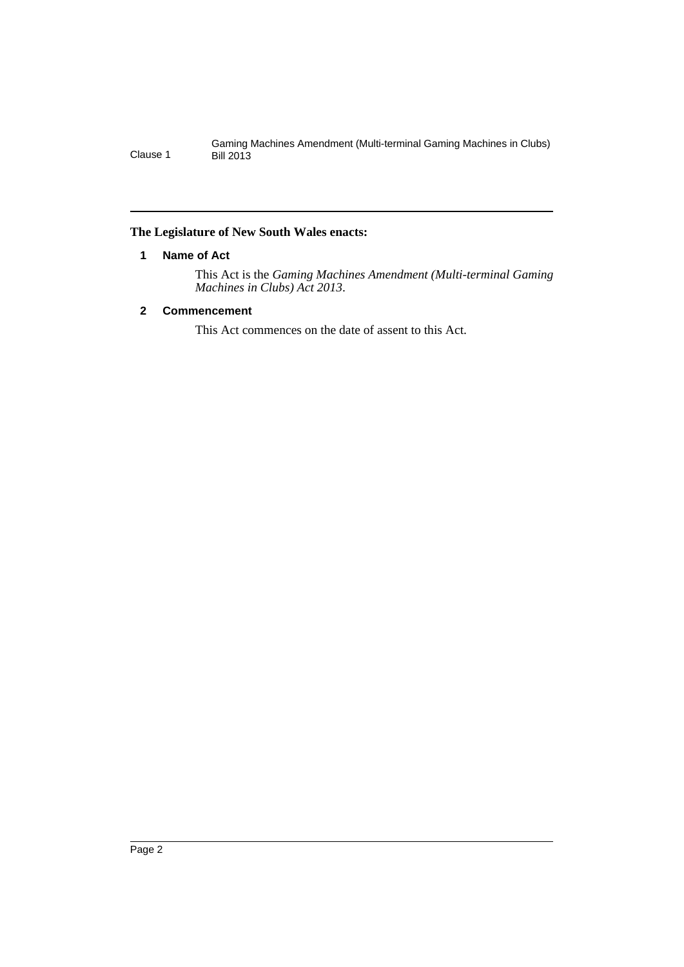Gaming Machines Amendment (Multi-terminal Gaming Machines in Clubs) Clause 1 Bill 2013

## <span id="page-3-0"></span>**The Legislature of New South Wales enacts:**

## **1 Name of Act**

This Act is the *Gaming Machines Amendment (Multi-terminal Gaming Machines in Clubs) Act 2013*.

## <span id="page-3-1"></span>**2 Commencement**

This Act commences on the date of assent to this Act.